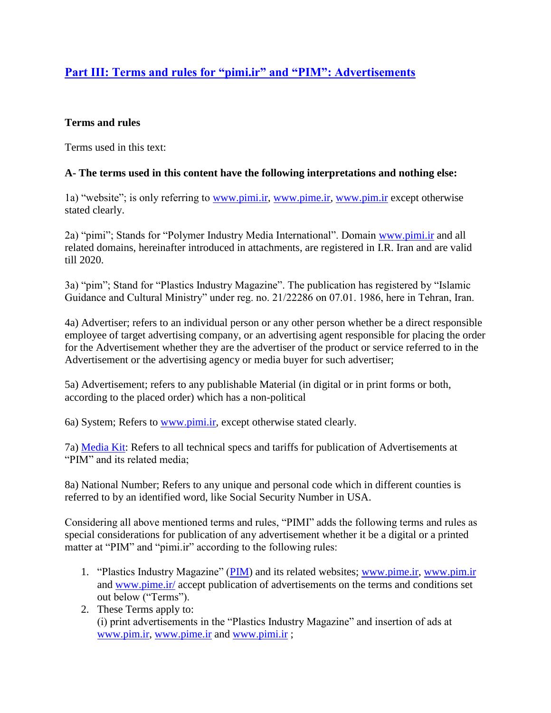# **[Part III: Terms and rules for "pimi.ir" and "PIM": Advertisements](http://pimi.ir/terms-and-conditions-for-using-this-website-part-one/)**

#### **Terms and rules**

Terms used in this text:

#### **A- The terms used in this content have the following interpretations and nothing else:**

1a) "website"; is only referring to [www.pimi.ir,](http://www.pimi.ir/) [www.pime.ir,](http://www.pime.ir/) [www.pim.ir](http://www.pim.ir/) except otherwise stated clearly.

2a) "pimi"; Stands for "Polymer Industry Media International". Domain [www.pimi.ir](http://www.pimi.ir/) and all related domains, hereinafter introduced in attachments, are registered in I.R. Iran and are valid till 2020.

3a) "pim"; Stand for "Plastics Industry Magazine". The publication has registered by "Islamic Guidance and Cultural Ministry" under reg. no. 21/22286 on 07.01. 1986, here in Tehran, Iran.

4a) Advertiser; refers to an individual person or any other person whether be a direct responsible employee of target advertising company, or an advertising agent responsible for placing the order for the Advertisement whether they are the advertiser of the product or service referred to in the Advertisement or the advertising agency or media buyer for such advertiser;

5a) Advertisement; refers to any publishable Material (in digital or in print forms or both, according to the placed order) which has a non-political

6a) System; Refers to [www.pimi.ir,](http://www.pimi.ir/) except otherwise stated clearly.

7a) [Media Kit:](http://pimi.ir/media-kit/) Refers to all technical specs and tariffs for publication of Advertisements at "PIM" and its related media;

8a) National Number; Refers to any unique and personal code which in different counties is referred to by an identified word, like Social Security Number in USA.

Considering all above mentioned terms and rules, "PIMI" adds the following terms and rules as special considerations for publication of any advertisement whether it be a digital or a printed matter at "PIM" and "pimi.ir" according to the following rules:

- 1. "Plastics Industry Magazine" [\(PIM\)](http://www.pim.ir/) and its related websites; [www.pime.ir,](http://www.pime.ir/) [www.pim.ir](http://www.pim.ir/) and [www.pime.ir/](http://www.pime.ir/) accept publication of advertisements on the terms and conditions set out below ("Terms").
- 2. These Terms apply to: (i) print advertisements in the "Plastics Industry Magazine" and insertion of ads at [www.pim.ir,](http://www.pim.ir/) [www.pime.ir](http://www.pime.ir/) and [www.pimi.ir](http://www.pimi.ir/) ;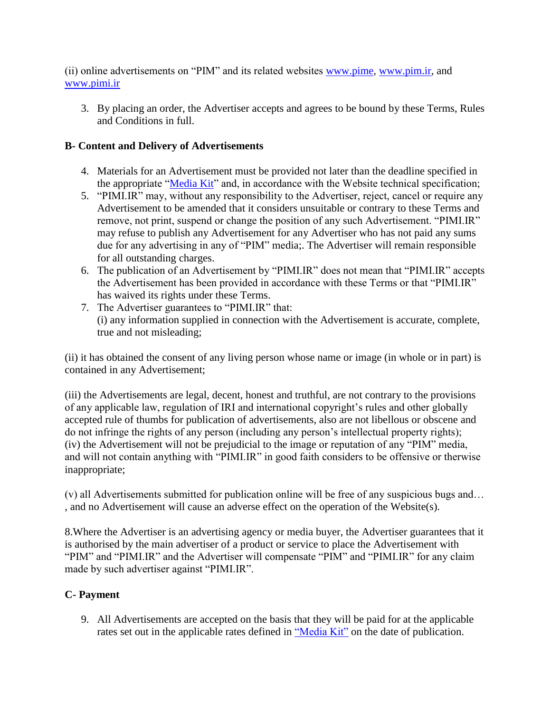(ii) online advertisements on "PIM" and its related websites [www.pime,](http://www.pime/) [www.pim.ir,](http://www.pim.ir/) and [www.pimi.ir](http://www.pimi.ir/)

3. By placing an order, the Advertiser accepts and agrees to be bound by these Terms, Rules and Conditions in full.

## **B- Content and Delivery of Advertisements**

- 4. Materials for an Advertisement must be provided not later than the deadline specified in the appropriate ["Media Kit"](http://pimi.ir/media-kit/) and, in accordance with the Website technical specification;
- 5. "PIMI.IR" may, without any responsibility to the Advertiser, reject, cancel or require any Advertisement to be amended that it considers unsuitable or contrary to these Terms and remove, not print, suspend or change the position of any such Advertisement. "PIMI.IR" may refuse to publish any Advertisement for any Advertiser who has not paid any sums due for any advertising in any of "PIM" media;. The Advertiser will remain responsible for all outstanding charges.
- 6. The publication of an Advertisement by "PIMI.IR" does not mean that "PIMI.IR" accepts the Advertisement has been provided in accordance with these Terms or that "PIMI.IR" has waived its rights under these Terms.
- 7. The Advertiser guarantees to "PIMI.IR" that: (i) any information supplied in connection with the Advertisement is accurate, complete, true and not misleading;

(ii) it has obtained the consent of any living person whose name or image (in whole or in part) is contained in any Advertisement;

(iii) the Advertisements are legal, decent, honest and truthful, are not contrary to the provisions of any applicable law, regulation of IRI and international copyright's rules and other globally accepted rule of thumbs for publication of advertisements, also are not libellous or obscene and do not infringe the rights of any person (including any person's intellectual property rights); (iv) the Advertisement will not be prejudicial to the image or reputation of any "PIM" media, and will not contain anything with "PIMI.IR" in good faith considers to be offensive or therwise inappropriate;

(v) all Advertisements submitted for publication online will be free of any suspicious bugs and… , and no Advertisement will cause an adverse effect on the operation of the Website(s).

8.Where the Advertiser is an advertising agency or media buyer, the Advertiser guarantees that it is authorised by the main advertiser of a product or service to place the Advertisement with "PIM" and "PIMI.IR" and the Advertiser will compensate "PIM" and "PIMI.IR" for any claim made by such advertiser against "PIMI.IR".

### **C- Payment**

9. All Advertisements are accepted on the basis that they will be paid for at the applicable rates set out in the applicable rates defined in ["Media Kit"](http://pimi.ir/media-kit/) on the date of publication.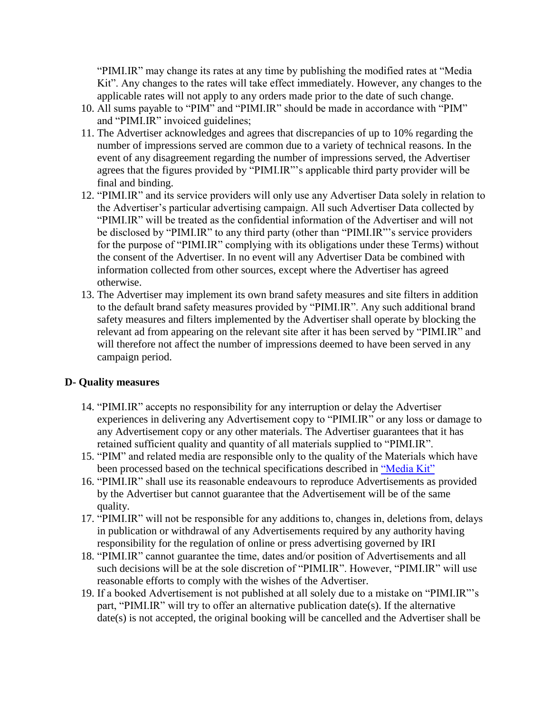"PIMI.IR" may change its rates at any time by publishing the modified rates at "Media Kit". Any changes to the rates will take effect immediately. However, any changes to the applicable rates will not apply to any orders made prior to the date of such change.

- 10. All sums payable to "PIM" and "PIMI.IR" should be made in accordance with "PIM" and "PIMI.IR" invoiced guidelines;
- 11. The Advertiser acknowledges and agrees that discrepancies of up to 10% regarding the number of impressions served are common due to a variety of technical reasons. In the event of any disagreement regarding the number of impressions served, the Advertiser agrees that the figures provided by "PIMI.IR"'s applicable third party provider will be final and binding.
- 12. "PIMI.IR" and its service providers will only use any Advertiser Data solely in relation to the Advertiser's particular advertising campaign. All such Advertiser Data collected by "PIMI.IR" will be treated as the confidential information of the Advertiser and will not be disclosed by "PIMI.IR" to any third party (other than "PIMI.IR"'s service providers for the purpose of "PIMI.IR" complying with its obligations under these Terms) without the consent of the Advertiser. In no event will any Advertiser Data be combined with information collected from other sources, except where the Advertiser has agreed otherwise.
- 13. The Advertiser may implement its own brand safety measures and site filters in addition to the default brand safety measures provided by "PIMI.IR". Any such additional brand safety measures and filters implemented by the Advertiser shall operate by blocking the relevant ad from appearing on the relevant site after it has been served by "PIMI.IR" and will therefore not affect the number of impressions deemed to have been served in any campaign period.

#### **D- Quality measures**

- 14. "PIMI.IR" accepts no responsibility for any interruption or delay the Advertiser experiences in delivering any Advertisement copy to "PIMI.IR" or any loss or damage to any Advertisement copy or any other materials. The Advertiser guarantees that it has retained sufficient quality and quantity of all materials supplied to "PIMI.IR".
- 15. "PIM" and related media are responsible only to the quality of the Materials which have been processed based on the technical specifications described in ["Media Kit"](http://pimi.ir/media-kit/)
- 16. "PIMI.IR" shall use its reasonable endeavours to reproduce Advertisements as provided by the Advertiser but cannot guarantee that the Advertisement will be of the same quality.
- 17. "PIMI.IR" will not be responsible for any additions to, changes in, deletions from, delays in publication or withdrawal of any Advertisements required by any authority having responsibility for the regulation of online or press advertising governed by IRI
- 18. "PIMI.IR" cannot guarantee the time, dates and/or position of Advertisements and all such decisions will be at the sole discretion of "PIMI.IR". However, "PIMI.IR" will use reasonable efforts to comply with the wishes of the Advertiser.
- 19. If a booked Advertisement is not published at all solely due to a mistake on "PIMI.IR"'s part, "PIMI.IR" will try to offer an alternative publication date(s). If the alternative date(s) is not accepted, the original booking will be cancelled and the Advertiser shall be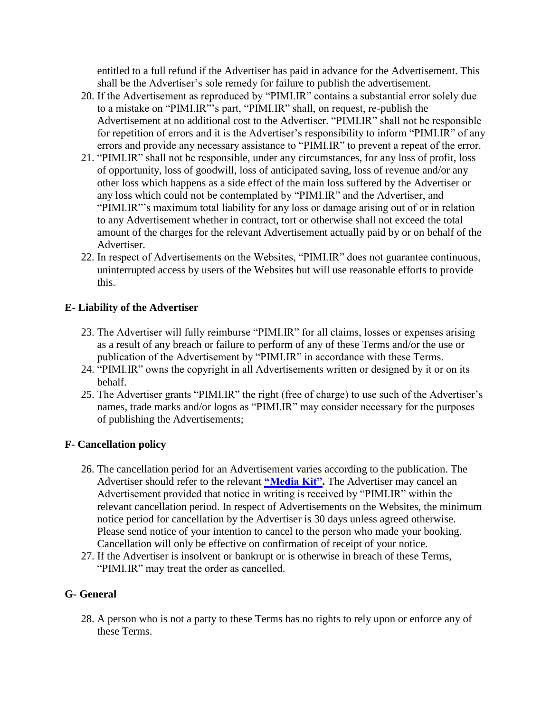entitled to a full refund if the Advertiser has paid in advance for the Advertisement. This shall be the Advertiser's sole remedy for failure to publish the advertisement.

- 20. If the Advertisement as reproduced by "PIMI.IR" contains a substantial error solely due to a mistake on "PIMI.IR"'s part, "PIMI.IR" shall, on request, re-publish the Advertisement at no additional cost to the Advertiser. "PIMI.IR" shall not be responsible for repetition of errors and it is the Advertiser's responsibility to inform "PIMI.IR" of any errors and provide any necessary assistance to "PIMI.IR" to prevent a repeat of the error.
- 21. "PIMI.IR" shall not be responsible, under any circumstances, for any loss of profit, loss of opportunity, loss of goodwill, loss of anticipated saving, loss of revenue and/or any other loss which happens as a side effect of the main loss suffered by the Advertiser or any loss which could not be contemplated by "PIMI.IR" and the Advertiser, and "PIMI.IR"'s maximum total liability for any loss or damage arising out of or in relation to any Advertisement whether in contract, tort or otherwise shall not exceed the total amount of the charges for the relevant Advertisement actually paid by or on behalf of the Advertiser.
- 22. In respect of Advertisements on the Websites, "PIMI.IR" does not guarantee continuous, uninterrupted access by users of the Websites but will use reasonable efforts to provide this.

#### **E- Liability of the Advertiser**

- 23. The Advertiser will fully reimburse "PIMI.IR" for all claims, losses or expenses arising as a result of any breach or failure to perform of any of these Terms and/or the use or publication of the Advertisement by "PIMI.IR" in accordance with these Terms.
- 24. "PIMI.IR" owns the copyright in all Advertisements written or designed by it or on its behalf.
- 25. The Advertiser grants "PIMI.IR" the right (free of charge) to use such of the Advertiser's names, trade marks and/or logos as "PIMI.IR" may consider necessary for the purposes of publishing the Advertisements;

### **F- Cancellation policy**

- 26. The cancellation period for an Advertisement varies according to the publication. The Advertiser should refer to the relevant **["Media Kit".](http://pimi.ir/media-kit/)** The Advertiser may cancel an Advertisement provided that notice in writing is received by "PIMI.IR" within the relevant cancellation period. In respect of Advertisements on the Websites, the minimum notice period for cancellation by the Advertiser is 30 days unless agreed otherwise. Please send notice of your intention to cancel to the person who made your booking. Cancellation will only be effective on confirmation of receipt of your notice.
- 27. If the Advertiser is insolvent or bankrupt or is otherwise in breach of these Terms, "PIMI.IR" may treat the order as cancelled.

### **G- General**

28. A person who is not a party to these Terms has no rights to rely upon or enforce any of these Terms.